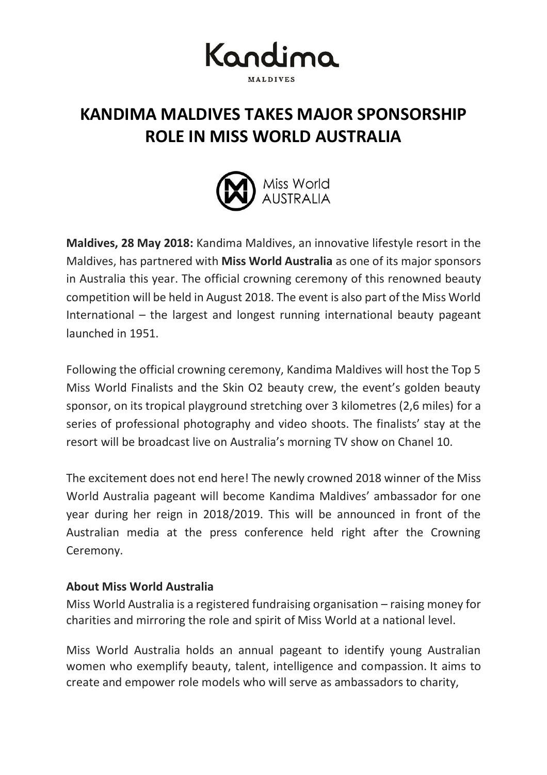

## **KANDIMA MALDIVES TAKES MAJOR SPONSORSHIP ROLE IN MISS WORLD AUSTRALIA**



**Maldives, 28 May 2018:** Kandima Maldives, an innovative lifestyle resort in the Maldives, has partnered with **Miss World Australia** as one of its major sponsors in Australia this year. The official crowning ceremony of this renowned beauty competition will be held in August 2018. The event is also part of the Miss World International – the largest and longest running international beauty pageant launched in 1951.

Following the official crowning ceremony, Kandima Maldives will host the Top 5 Miss World Finalists and the Skin O2 beauty crew, the event's golden beauty sponsor, on its tropical playground stretching over 3 kilometres (2,6 miles) for a series of professional photography and video shoots. The finalists' stay at the resort will be broadcast live on Australia's morning TV show on Chanel 10.

The excitement does not end here! The newly crowned 2018 winner of the Miss World Australia pageant will become Kandima Maldives' ambassador for one year during her reign in 2018/2019. This will be announced in front of the Australian media at the press conference held right after the Crowning Ceremony.

## **About Miss World Australia**

Miss World Australia is a registered fundraising organisation – raising money for charities and mirroring the role and spirit of Miss World at a national level.

Miss World Australia holds an annual pageant to identify young Australian women who exemplify beauty, talent, intelligence and compassion. It aims to create and empower role models who will serve as ambassadors to charity,